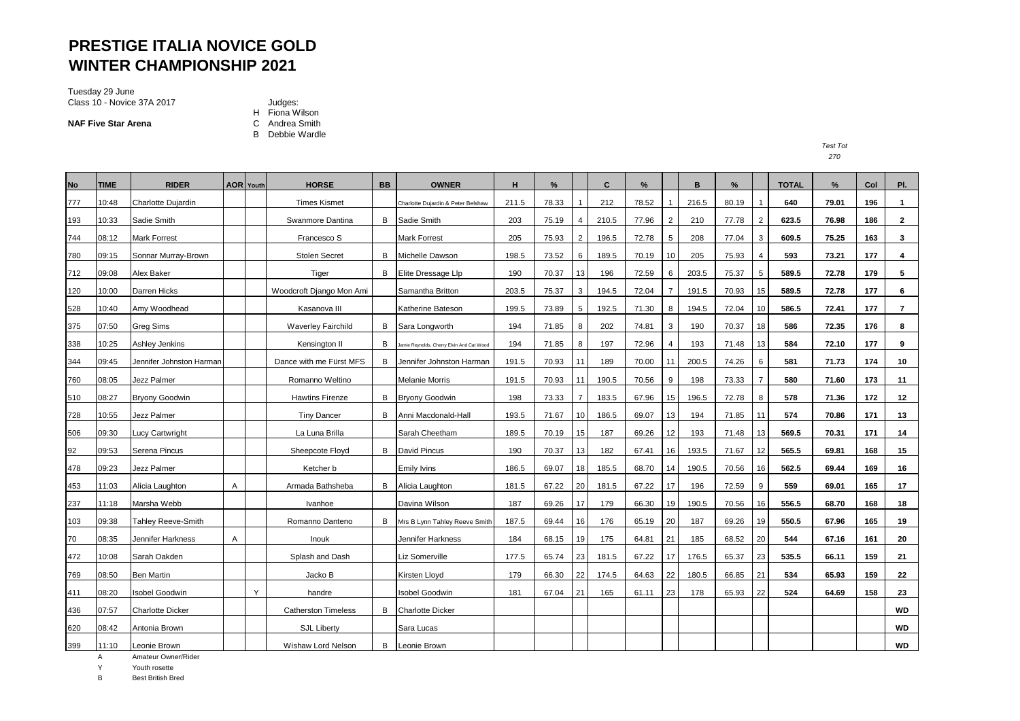# **PRESTIGE ITALIA NOVICE GOLD WINTER CHAMPIONSHIP 2021**

Tuesday 29 June Class 10 - Novice 37A 2017 **Judges:** 

**NAF Five Star Arena** 

H Fiona Wilson<br>C Andrea Smith

B Debbie Wardle

*Test Tot* 

| <b>No</b> | <b>TIME</b> | <b>RIDER</b>              |   | <b>AOR</b> Youth | <b>HORSE</b>               | <b>BB</b> | <b>OWNER</b>                             | н     | %     |                | C     | %     |                | B     | %     |                | <b>TOTAL</b> | %     | Col | PI.            |
|-----------|-------------|---------------------------|---|------------------|----------------------------|-----------|------------------------------------------|-------|-------|----------------|-------|-------|----------------|-------|-------|----------------|--------------|-------|-----|----------------|
| 777       | 10:48       | Charlotte Dujardin        |   |                  | <b>Times Kismet</b>        |           | Charlotte Dujardin & Peter Belshaw       | 211.5 | 78.33 |                | 212   | 78.52 |                | 216.5 | 80.19 |                | 640          | 79.01 | 196 | $\mathbf{1}$   |
| 193       | 10:33       | Sadie Smith               |   |                  | Swanmore Dantina           | B         | Sadie Smith                              | 203   | 75.19 |                | 210.5 | 77.96 | 2              | 210   | 77.78 | $\overline{2}$ | 623.5        | 76.98 | 186 | $\overline{2}$ |
| 744       | 08:12       | <b>Mark Forrest</b>       |   |                  | Francesco S                |           | <b>Mark Forrest</b>                      | 205   | 75.93 | $\overline{2}$ | 196.5 | 72.78 | 5              | 208   | 77.04 | 3              | 609.5        | 75.25 | 163 | 3              |
| 780       | 09:15       | Sonnar Murray-Brown       |   |                  | <b>Stolen Secret</b>       | B         | Michelle Dawson                          | 198.5 | 73.52 | 6              | 189.5 | 70.19 | 10             | 205   | 75.93 |                | 593          | 73.21 | 177 | 4              |
| 712       | 09:08       | Alex Baker                |   |                  | Tiger                      | B         | Elite Dressage Llp                       | 190   | 70.37 | 13             | 196   | 72.59 | 6              | 203.5 | 75.37 | 5              | 589.5        | 72.78 | 179 | 5              |
| 120       | 10:00       | <b>Darren Hicks</b>       |   |                  | Woodcroft Django Mon Ami   |           | Samantha Britton                         | 203.5 | 75.37 | 3              | 194.5 | 72.04 | $\overline{7}$ | 191.5 | 70.93 | 15             | 589.5        | 72.78 | 177 | 6              |
| 528       | 10:40       | Amy Woodhead              |   |                  | Kasanova III               |           | Katherine Bateson                        | 199.5 | 73.89 | 5              | 192.5 | 71.30 | 8              | 194.5 | 72.04 | 10             | 586.5        | 72.41 | 177 | $\overline{7}$ |
| 375       | 07:50       | <b>Greg Sims</b>          |   |                  | <b>Waverley Fairchild</b>  | B         | Sara Longworth                           | 194   | 71.85 | 8              | 202   | 74.81 | 3              | 190   | 70.37 | 18             | 586          | 72.35 | 176 | 8              |
| 338       | 10:25       | Ashley Jenkins            |   |                  | Kensington II              | В         | amie Reynolds, Cherry Elvin And Cat Wood | 194   | 71.85 | 8              | 197   | 72.96 | $\overline{4}$ | 193   | 71.48 | 13             | 584          | 72.10 | 177 | 9              |
| 344       | 09:45       | Jennifer Johnston Harman  |   |                  | Dance with me Fürst MFS    | B         | Jennifer Johnston Harman                 | 191.5 | 70.93 | 11             | 189   | 70.00 | 11             | 200.5 | 74.26 | 6              | 581          | 71.73 | 174 | 10             |
| 760       | 08:05       | Jezz Palmer               |   |                  | Romanno Weltino            |           | <b>Melanie Morris</b>                    | 191.5 | 70.93 | 11             | 190.5 | 70.56 | 9              | 198   | 73.33 | 7              | 580          | 71.60 | 173 | 11             |
| 510       | 08:27       | <b>Bryony Goodwin</b>     |   |                  | <b>Hawtins Firenze</b>     | B         | <b>Bryony Goodwin</b>                    | 198   | 73.33 | $\overline{7}$ | 183.5 | 67.96 | 15             | 196.5 | 72.78 | 8              | 578          | 71.36 | 172 | 12             |
| 728       | 10:55       | Jezz Palmer               |   |                  | <b>Tiny Dancer</b>         | B         | Anni Macdonald-Hall                      | 193.5 | 71.67 | 10             | 186.5 | 69.07 | 13             | 194   | 71.85 | 11             | 574          | 70.86 | 171 | 13             |
| 506       | 09:30       | _ucy Cartwright           |   |                  | La Luna Brilla             |           | Sarah Cheetham                           | 189.5 | 70.19 | 15             | 187   | 69.26 | 12             | 193   | 71.48 | 13             | 569.5        | 70.31 | 171 | 14             |
| 92        | 09:53       | Serena Pincus             |   |                  | Sheepcote Floyd            |           | <b>B</b> David Pincus                    | 190   | 70.37 | 13             | 182   | 67.41 | 16             | 193.5 | 71.67 | 12             | 565.5        | 69.81 | 168 | 15             |
| 478       | 09:23       | <b>Jezz Palmer</b>        |   |                  | Ketcher b                  |           | <b>Emily Ivins</b>                       | 186.5 | 69.07 | 18             | 185.5 | 68.70 | 14             | 190.5 | 70.56 | 16             | 562.5        | 69.44 | 169 | 16             |
| 453       | 11:03       | Alicia Laughton           | Α |                  | Armada Bathsheba           | B         | Alicia Laughton                          | 181.5 | 67.22 | 20             | 181.5 | 67.22 | 17             | 196   | 72.59 | 9              | 559          | 69.01 | 165 | 17             |
| 237       | 11:18       | Marsha Webb               |   |                  | Ivanhoe                    |           | Davina Wilson                            | 187   | 69.26 | 17             | 179   | 66.30 | 19             | 190.5 | 70.56 | 16             | 556.5        | 68.70 | 168 | 18             |
| 103       | 09:38       | <b>Tahley Reeve-Smith</b> |   |                  | Romanno Danteno            | В         | Mrs B Lynn Tahley Reeve Smith            | 187.5 | 69.44 | 16             | 176   | 65.19 | 20             | 187   | 69.26 | 19             | 550.5        | 67.96 | 165 | 19             |
| 70        | 08:35       | Jennifer Harkness         | Α |                  | Inouk                      |           | Jennifer Harkness                        | 184   | 68.15 | 19             | 175   | 64.81 | 21             | 185   | 68.52 | 20             | 544          | 67.16 | 161 | 20             |
| 472       | 10:08       | Sarah Oakden              |   |                  | Splash and Dash            |           | Liz Somerville                           | 177.5 | 65.74 | 23             | 181.5 | 67.22 | 17             | 176.5 | 65.37 | 23             | 535.5        | 66.11 | 159 | 21             |
| 769       | 08:50       | <b>Ben Martin</b>         |   |                  | Jacko B                    |           | Kirsten Lloyd                            | 179   | 66.30 | 22             | 174.5 | 64.63 | 22             | 180.5 | 66.85 | 21             | 534          | 65.93 | 159 | 22             |
| 411       | 08:20       | <b>Isobel Goodwin</b>     |   | Y                | handre                     |           | <b>Isobel Goodwin</b>                    | 181   | 67.04 | 21             | 165   | 61.11 | 23             | 178   | 65.93 | 22             | 524          | 64.69 | 158 | 23             |
| 436       | 07:57       | <b>Charlotte Dicker</b>   |   |                  | <b>Catherston Timeless</b> | B         | <b>Charlotte Dicker</b>                  |       |       |                |       |       |                |       |       |                |              |       |     | <b>WD</b>      |
| 620       | 08:42       | Antonia Brown             |   |                  | <b>SJL Liberty</b>         |           | Sara Lucas                               |       |       |                |       |       |                |       |       |                |              |       |     | <b>WD</b>      |
| 399       | 11:10       | Leonie Brown              |   |                  | Wishaw Lord Nelson         |           | <b>B</b> Leonie Brown                    |       |       |                |       |       |                |       |       |                |              |       |     | <b>WD</b>      |

A Amateur Owner/Rider

Y Youth rosette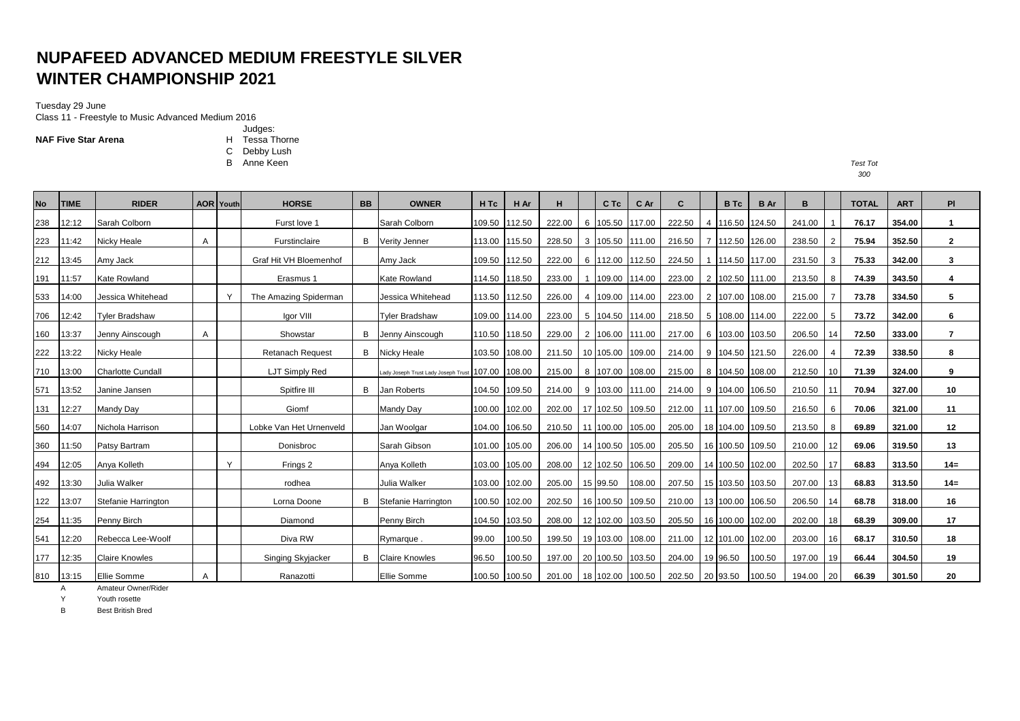# **NUPAFEED ADVANCED MEDIUM FREESTYLE SILVER WINTER CHAMPIONSHIP 2021**

#### Tuesday 29 June

Class 11 - Freestyle to Music Advanced Medium 2016

Judges: **NAF Five Star Arena H** Tessa Thorne

C Debby Lush<br>B Anne Keen

B Anne Keen *Test Tot*

| <b>No</b> | <b>TIME</b> | <b>RIDER</b>             |   | <b>AOR</b> Youth | <b>HORSE</b>            | <b>BB</b> | <b>OWNER</b>                        | H Tc   | H Ar          | н      |   | C Tc             | C Ar   | C               | B Tc             | <b>B</b> Ar | в      |    | <b>TOTAL</b> | <b>ART</b> | PI             |
|-----------|-------------|--------------------------|---|------------------|-------------------------|-----------|-------------------------------------|--------|---------------|--------|---|------------------|--------|-----------------|------------------|-------------|--------|----|--------------|------------|----------------|
| 238       | 12:12       | Sarah Colborn            |   |                  | Furst love 1            |           | Sarah Colborn                       | 109.50 | 112.50        | 222.00 |   | 6 105.50         | 117.00 | 222.50          | 4 116.50         | 124.50      | 241.00 |    | 76.17        | 354.00     | $\mathbf{1}$   |
| 223       | 11:42       | Nicky Heale              | A |                  | Furstinclaire           | В         | Verity Jenner                       | 113.00 | 115.50        | 228.50 |   | 3 105.50 111.00  |        | 216.50          | 7 112.50 126.00  |             | 238.50 |    | 75.94        | 352.50     | $\mathbf{2}$   |
| 212       | 13:45       | Amy Jack                 |   |                  | Graf Hit VH Bloemenhof  |           | Amy Jack                            | 109.50 | 112.50        | 222.00 |   | 6 112.00 112.50  |        | 224.50          | 114.50 117.00    |             | 231.50 | 3  | 75.33        | 342.00     | 3              |
| 191       | 11:57       | Kate Rowland             |   |                  | Erasmus 1               |           | <b>Kate Rowland</b>                 | 114.50 | 118.50        | 233.00 |   | 109.00 114.00    |        | 223.00          | 2 102.50 111.00  |             | 213.50 |    | 74.39        | 343.50     | 4              |
| 533       | 14:00       | Jessica Whitehead        |   | Y                | The Amazing Spiderman   |           | Jessica Whitehead                   | 113.50 | 112.50        | 226.00 | 4 | 109.00           | 114.00 | 223.00          | 2 107.00         | 108.00      | 215.00 |    | 73.78        | 334.50     | 5              |
| 706       | 12:42       | <b>Tyler Bradshaw</b>    |   |                  | Igor VIII               |           | <b>Tyler Bradshaw</b>               | 109.00 | 114.00        | 223.00 |   | 5 104.50 114.00  |        | 218.50          | 5 108.00 114.00  |             | 222.00 |    | 73.72        | 342.00     | 6              |
| 160       | 13:37       | Jenny Ainscough          | A |                  | Showstar                | В         | Jenny Ainscough                     | 110.50 | 118.50        | 229.00 |   | 2 106.00 111.00  |        | 217.00          | 6 103.00         | 103.50      | 206.50 | 14 | 72.50        | 333.00     | $\overline{7}$ |
| 222       | 13:22       | Nicky Heale              |   |                  | <b>Retanach Request</b> |           | <b>B</b> Nicky Heale                | 103.50 | 108.00        | 211.50 |   | 10 105.00 109.00 |        | 214.00          | 9 104.50 121.50  |             | 226.00 |    | 72.39        | 338.50     | 8              |
| 710       | 13:00       | <b>Charlotte Cundall</b> |   |                  | LJT Simply Red          |           | Lady Joseph Trust Lady Joseph Trust | 107.00 | 108.00        | 215.00 |   | 8 107.00 108.00  |        | 215.00          | 8 104.50 108.00  |             | 212.50 | 10 | 71.39        | 324.00     | 9              |
| 571       | 13:52       | Janine Jansen            |   |                  | Spitfire III            | в         | Jan Roberts                         | 104.50 | 109.50        | 214.00 |   | 9 103.00         | 111.00 | 214.00          | 9 104.00         | 106.50      | 210.50 | 11 | 70.94        | 327.00     | 10             |
| 131       | 12:27       | Mandy Day                |   |                  | Giomf                   |           | Mandy Day                           | 100.00 | 102.00        | 202.00 |   | 17 102.50        | 109.50 | 212.00          | 11 107.00        | 109.50      | 216.50 | -6 | 70.06        | 321.00     | 11             |
| 560       | 14:07       | Nichola Harrison         |   |                  | Lobke Van Het Urnenveld |           | Jan Woolgar                         | 104.00 | 106.50        | 210.50 |   | 11 100.00        | 105.00 | 205.00          | 18 104.00 109.50 |             | 213.50 |    | 69.89        | 321.00     | 12             |
| 360       | 11:50       | Patsy Bartram            |   |                  | Donisbroc               |           | Sarah Gibson                        | 101.00 | 105.00        | 206.00 |   | 14 100.50 105.00 |        | 205.50          | 16 100.50 109.50 |             | 210.00 | 12 | 69.06        | 319.50     | 13             |
| 494       | 12:05       | Anya Kolleth             |   | Y                | Frings 2                |           | Anva Kolleth                        | 103.00 | 105.00        | 208.00 |   | 12 102.50        | 106.50 | 209.00          | 14 100.50        | 102.00      | 202.50 |    | 68.83        | 313.50     | $14=$          |
| 492       | 13:30       | Julia Walker             |   |                  | rodhea                  |           | Julia Walker                        | 103.00 | 102.00        | 205.00 |   | 15 99.50         | 108.00 | 207.50          | 15 103.50 103.50 |             | 207.00 | 13 | 68.83        | 313.50     | $14=$          |
| 122       | 13:07       | Stefanie Harrington      |   |                  | Lorna Doone             | в         | Stefanie Harrington                 | 100.50 | 102.00        | 202.50 |   | 16 100.50        | 109.50 | 210.00          | 13 100.00        | 106.50      | 206.50 |    | 68.78        | 318.00     | 16             |
| 254       | 11:35       | Penny Birch              |   |                  | Diamond                 |           | Penny Birch                         | 104.50 | 103.50        | 208.00 |   | 12 102.00 103.50 |        | 205.50          | 16 100.00 102.00 |             | 202.00 | 18 | 68.39        | 309.00     | 17             |
| 541       | 12:20       | Rebecca Lee-Woolf        |   |                  | Diva RW                 |           | Rymarque.                           | 99.00  | 100.50        | 199.50 |   | 19 103.00        | 108.00 | 211.00          | 12 101.00        | 102.00      | 203.00 | 16 | 68.17        | 310.50     | 18             |
| 177       | 12:35       | <b>Claire Knowles</b>    |   |                  | Singing Skyjacker       | в         | <b>Claire Knowles</b>               | 96.50  | 100.50        | 197.00 |   | 20 100.50 103.50 |        | 204.00          | 19 96.50         | 100.50      | 197.00 | 19 | 66.44        | 304.50     | 19             |
| 810       | 13:15       | Ellie Somme              | A |                  | Ranazotti               |           | Ellie Somme                         |        | 100.50 100.50 | 201.00 |   | 18 102.00 100.50 |        | 202.50 20 93.50 |                  | 100.50      | 194.00 | 20 | 66.39        | 301.50     | 20             |

A Amateur Owner/Rider

Y Youth rosette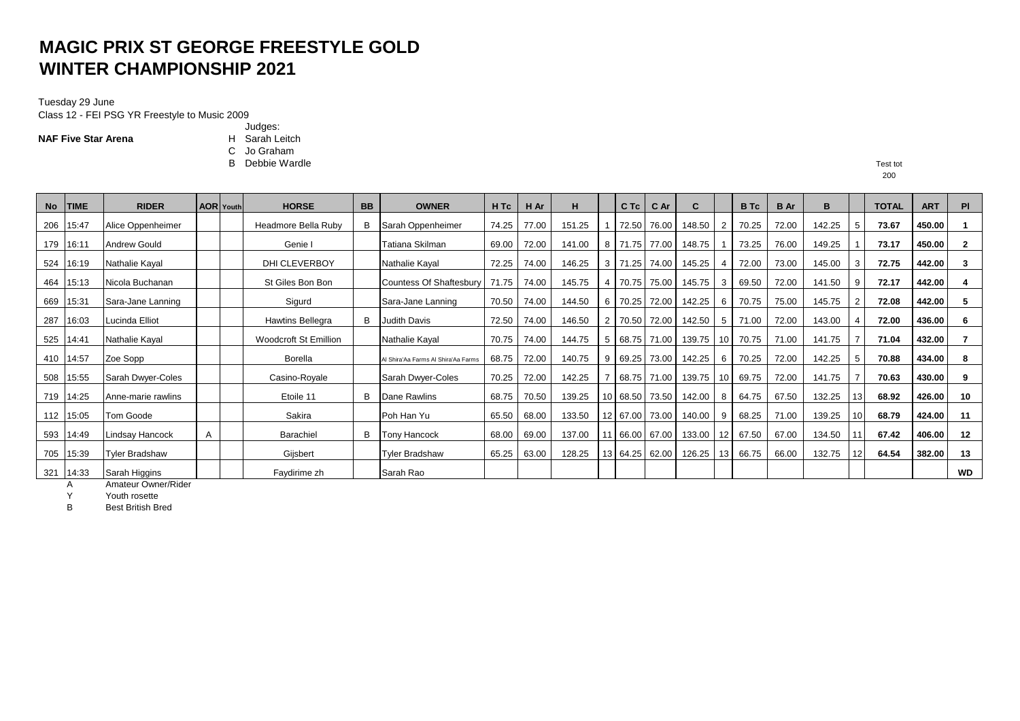# **MAGIC PRIX ST GEORGE FREESTYLE GOLD WINTER CHAMPIONSHIP 2021**

#### Tuesday 29 June Class 12 - FEI PSG YR Freestyle to Music 2009

**NAF Five Star Arena** 

- Judges:<br>H Sarah Leitch
- 
- C Jo Graham<br>B Debbie Wardle B Debbie Wardle Test tot

200

| <b>No</b> | <b>TIME</b> | <b>RIDER</b>           |   | <b>AOR</b> Youth | <b>HORSE</b>          | <b>BB</b> | <b>OWNER</b>                        | H Tc  | H Ar  | н      |    | $C$ Tc | C Ar           | C      |                 | <b>B</b> Tc | <b>B</b> Ar | B      |     | <b>TOTAL</b> | <b>ART</b> | PI           |
|-----------|-------------|------------------------|---|------------------|-----------------------|-----------|-------------------------------------|-------|-------|--------|----|--------|----------------|--------|-----------------|-------------|-------------|--------|-----|--------------|------------|--------------|
| 206       | 15:47       | Alice Oppenheimer      |   |                  | Headmore Bella Ruby   | в         | Sarah Oppenheimer                   | 74.25 | 77.00 | 151.25 |    |        | 72.50 76.00    | 148.50 | -2              | 70.25       | 72.00       | 142.25 | -5  | 73.67        | 450.00     |              |
|           | 179 16:11   | <b>Andrew Gould</b>    |   |                  | Genie I               |           | Tatiana Skilman                     | 69.00 | 72.00 | 141.00 | 8  |        | 71.75 77.00    | 148.75 |                 | 73.25       | 76.00       | 149.25 |     | 73.17        | 450.00     | $\mathbf{2}$ |
|           | 524 16:19   | <b>Nathalie Kayal</b>  |   |                  | DHI CLEVERBOY         |           | Nathalie Kayal                      | 72.25 | 74.00 | 146.25 | 3  | 71.25  | 74.00          | 145.25 |                 | 72.00       | 73.00       | 145.00 | 3   | 72.75        | 442.00     | 3            |
| 464       | 15:13       | Nicola Buchanan        |   |                  | St Giles Bon Bon      |           | <b>Countess Of Shaftesbury</b>      | 71.75 | 74.00 | 145.75 |    | 70.75  | 75.00          | 145.75 | 3               | 69.50       | 72.00       | 141.50 | 9   | 72.17        | 442.00     | 4            |
| 669       | 15:31       | Sara-Jane Lanning      |   |                  | Sigurd                |           | Sara-Jane Lanning                   | 70.50 | 74.00 | 144.50 | 6  | 70.25  | 72.00          | 142.25 | 6               | 70.75       | 75.00       | 145.75 |     | 72.08        | 442.00     | 5            |
| 287       | 16:03       | Lucinda Elliot         |   |                  | Hawtins Bellegra      | В         | <b>Judith Davis</b>                 | 72.50 | 74.00 | 146.50 | 2  |        | 70.50 72.00    | 142.50 | -5              | 71.00       | 72.00       | 143.00 |     | 72.00        | 436.00     | 6            |
|           | 525 14:41   | Nathalie Kayal         |   |                  | Woodcroft St Emillion |           | Nathalie Kayal                      | 70.75 | 74.00 | 144.75 | 5  |        | 68.75 71.00    | 139.75 | 10              | 70.75       | 71.00       | 141.75 |     | 71.04        | 432.00     |              |
|           | 410 14:57   | Zoe Sopp               |   |                  | <b>Borella</b>        |           | Al Shira'Aa Farms Al Shira'Aa Farms | 68.75 | 72.00 | 140.75 | 9  | 69.25  | 73.00          | 142.25 | -6              | 70.25       | 72.00       | 142.25 | -5  | 70.88        | 434.00     | 8            |
|           | 508 15:55   | Sarah Dwyer-Coles      |   |                  | Casino-Royale         |           | Sarah Dwyer-Coles                   | 70.25 | 72.00 | 142.25 |    |        | 68.75 71.00    | 139.75 | 10              | 69.75       | 72.00       | 141.75 |     | 70.63        | 430.00     | 9            |
|           | 719 14:25   | Anne-marie rawlins     |   |                  | Etoile 11             | В         | Dane Rawlins                        | 68.75 | 70.50 | 139.25 | 10 |        | 68.50 73.50    | 142.00 | -8              | 64.75       | 67.50       | 132.25 | 13  | 68.92        | 426.00     | 10           |
|           | 112 15:05   | Tom Goode              |   |                  | Sakira                |           | Poh Han Yu                          | 65.50 | 68.00 | 133.50 | 12 |        | 67.00 73.00    | 140.00 |                 | 68.25       | 71.00       | 139.25 | 10  | 68.79        | 424.00     | 11           |
|           | 593 14:49   | <b>Lindsay Hancock</b> | A |                  | Barachiel             | в         | <b>Tony Hancock</b>                 | 68.00 | 69.00 | 137.00 |    |        | 66.00 67.00    | 133.00 | 12 <sup>1</sup> | 67.50       | 67.00       | 134.50 |     | 67.42        | 406.00     | 12           |
|           | 705 15:39   | <b>Tyler Bradshaw</b>  |   |                  | Gijsbert              |           | <b>Tyler Bradshaw</b>               | 65.25 | 63.00 | 128.25 |    |        | 13 64.25 62.00 | 126.25 | 13 <sub>l</sub> | 66.75       | 66.00       | 132.75 | 12. | 64.54        | 382.00     | 13           |
| 321       | 14:33       | Sarah Higgins          |   |                  | Faydirime zh          |           | Sarah Rao                           |       |       |        |    |        |                |        |                 |             |             |        |     |              |            | <b>WD</b>    |

A Amateur Owner/Rider

Y Youth rosette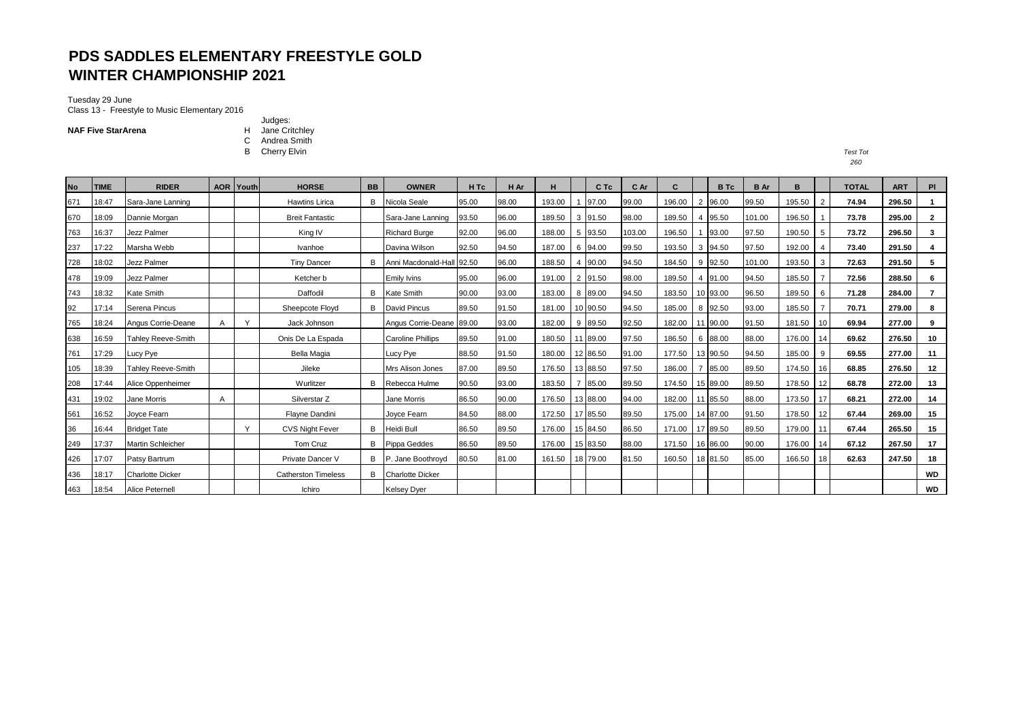## **PDS SADDLES ELEMENTARY FREESTYLE GOLD WINTER CHAMPIONSHIP 2021**

## Tuesday 29 June

Class 13 - Freestyle to Music Elementary 2016

Judges: **NAF Five StarArena H** Jane Critchley C Andrea Smith

B Cherry Elvin *Test Tot*

| <b>No</b> | <b>TIME</b> | <b>RIDER</b>              | AOR | Youth        | <b>HORSE</b>               | <b>BB</b> | <b>OWNER</b>              | H <sub>Tc</sub> | H Ar  | н      |    | C Tc     | C Ar   | C      |    | <b>B</b> Tc | <b>B</b> Ar | B      |                | <b>TOTAL</b> | <b>ART</b> | <b>PI</b>      |
|-----------|-------------|---------------------------|-----|--------------|----------------------------|-----------|---------------------------|-----------------|-------|--------|----|----------|--------|--------|----|-------------|-------------|--------|----------------|--------------|------------|----------------|
| 671       | 18:47       | Sara-Jane Lanning         |     |              | <b>Hawtins Lirica</b>      | B         | Nicola Seale              | 95.00           | 98.00 | 193.00 |    | 97.00    | 99.00  | 196.00 |    | 2 96.00     | 99.50       | 195.50 | 2              | 74.94        | 296.50     |                |
| 670       | 18:09       | Dannie Morgan             |     |              | <b>Breit Fantastic</b>     |           | Sara-Jane Lanning         | 93.50           | 96.00 | 189.50 |    | 3 91.50  | 98.00  | 189.50 |    | 95.50       | 101.00      | 196.50 |                | 73.78        | 295.00     | $\overline{2}$ |
| 763       | 16:37       | Jezz Palmer               |     |              | King IV                    |           | <b>Richard Burge</b>      | 92.00           | 96.00 | 188.00 | -5 | 93.50    | 103.00 | 196.50 |    | 93.00       | 97.50       | 190.50 | -5             | 73.72        | 296.50     | 3              |
| 237       | 17:22       | Marsha Webb               |     |              | Ivanhoe                    |           | Davina Wilson             | 92.50           | 94.50 | 187.00 | 6  | 94.00    | 99.50  | 193.50 |    | 3 94.50     | 97.50       | 192.00 | $\overline{4}$ | 73.40        | 291.50     |                |
| 728       | 18:02       | Jezz Palmer               |     |              | <b>Tiny Dancer</b>         | в         | Anni Macdonald-Hall 92.50 |                 | 96.00 | 188.50 | 4  | 90.00    | 94.50  | 184.50 |    | 9 92.50     | 101.00      | 193.50 | 3              | 72.63        | 291.50     | 5              |
| 478       | 19:09       | Jezz Palmer               |     |              | Ketcher b                  |           | <b>Emily Ivins</b>        | 95.00           | 96.00 | 191.00 |    | 2 91.50  | 98.00  | 189.50 |    | 4 91.00     | 94.50       | 185.50 |                | 72.56        | 288.50     | 6              |
| 743       | 18:32       | <b>Kate Smith</b>         |     |              | Daffodil                   |           | <b>B</b> Kate Smith       | 90.00           | 93.00 | 183.00 | 8  | 89.00    | 94.50  | 183.50 |    | 10 93.00    | 96.50       | 189.50 | 6              | 71.28        | 284.00     |                |
| 92        | 17:14       | Serena Pincus             |     |              | Sheepcote Floyd            | B         | David Pincus              | 89.50           | 91.50 | 181.00 |    | 10 90.50 | 94.50  | 185.00 |    | 8 92.50     | 93.00       | 185.50 |                | 70.71        | 279.00     | 8              |
| 765       | 18:24       | Angus Corrie-Deane        | A   | $\mathsf{v}$ | Jack Johnson               |           | Angus Corrie-Deane 89.00  |                 | 93.00 | 182.00 | 9  | 89.50    | 92.50  | 182.00 |    | 90.00       | 91.50       | 181.50 | 10             | 69.94        | 277.00     | 9              |
| 638       | 16:59       | <b>Tahley Reeve-Smith</b> |     |              | Onis De La Espada          |           | <b>Caroline Phillips</b>  | 89.50           | 91.00 | 180.50 |    | 89.00    | 97.50  | 186.50 |    | 6 88.00     | 88.00       | 176.00 | 14             | 69.62        | 276.50     | 10             |
| 761       | 17:29       | Lucy Pye                  |     |              | Bella Magia                |           | Lucy Pye                  | 88.50           | 91.50 | 180.00 |    | 12 86.50 | 91.00  | 177.50 |    | 13 90.50    | 94.50       | 185.00 | -9             | 69.55        | 277.00     | 11             |
| 105       | 18:39       | <b>Tahley Reeve-Smith</b> |     |              | Jileke                     |           | Mrs Alison Jones          | 87.00           | 89.50 | 176.50 |    | 13 88.50 | 97.50  | 186.00 |    | 85.00       | 89.50       | 174.50 | 16             | 68.85        | 276.50     | 12             |
| 208       | 17:44       | Alice Oppenheimer         |     |              | Wurlitzer                  |           | <b>B</b> Rebecca Hulme    | 90.50           | 93.00 | 183.50 |    | 85.00    | 89.50  | 174.50 |    | 15 89.00    | 89.50       | 178.50 | 12             | 68.78        | 272.00     | 13             |
| 431       | 19:02       | Jane Morris               | A   |              | Silverstar Z               |           | Jane Morris               | 86.50           | 90.00 | 176.50 |    | 13 88.00 | 94.00  | 182.00 | 11 | 85.50       | 88.00       | 173.50 | 17             | 68.21        | 272.00     | 14             |
| 561       | 16:52       | Joyce Fearn               |     |              | Flayne Dandini             |           | Joyce Fearn               | 84.50           | 88.00 | 172.50 | 17 | 85.50    | 89.50  | 175.00 |    | 14 87.00    | 91.50       | 178.50 | 12             | 67.44        | 269.00     | 15             |
| 36        | 16:44       | <b>Bridget Tate</b>       |     | $\checkmark$ | <b>CVS Night Fever</b>     | B         | Heidi Bull                | 86.50           | 89.50 | 176.00 |    | 15 84.50 | 86.50  | 171.00 |    | 17 89.50    | 89.50       | 179.00 | -11            | 67.44        | 265.50     | 15             |
| 249       | 17:37       | <b>Martin Schleicher</b>  |     |              | Tom Cruz                   | B         | <b>Pippa Geddes</b>       | 86.50           | 89.50 | 176.00 |    | 15 83.50 | 88.00  | 171.50 |    | 16 86.00    | 90.00       | 176.00 | 14             | 67.12        | 267.50     | 17             |
| 426       | 17:07       | Patsy Bartrum             |     |              | Private Dancer V           | B         | P. Jane Boothroyd         | 80.50           | 81.00 | 161.50 |    | 18 79.00 | 81.50  | 160.50 |    | 18 81.50    | 85.00       | 166.50 | 18             | 62.63        | 247.50     | 18             |
| 436       | 18:17       | <b>Charlotte Dicker</b>   |     |              | <b>Catherston Timeless</b> | B         | <b>Charlotte Dicker</b>   |                 |       |        |    |          |        |        |    |             |             |        |                |              |            | WD             |
| 463       | 18:54       | Alice Peternell           |     |              | Ichiro                     |           | <b>Kelsey Dyer</b>        |                 |       |        |    |          |        |        |    |             |             |        |                |              |            | <b>WD</b>      |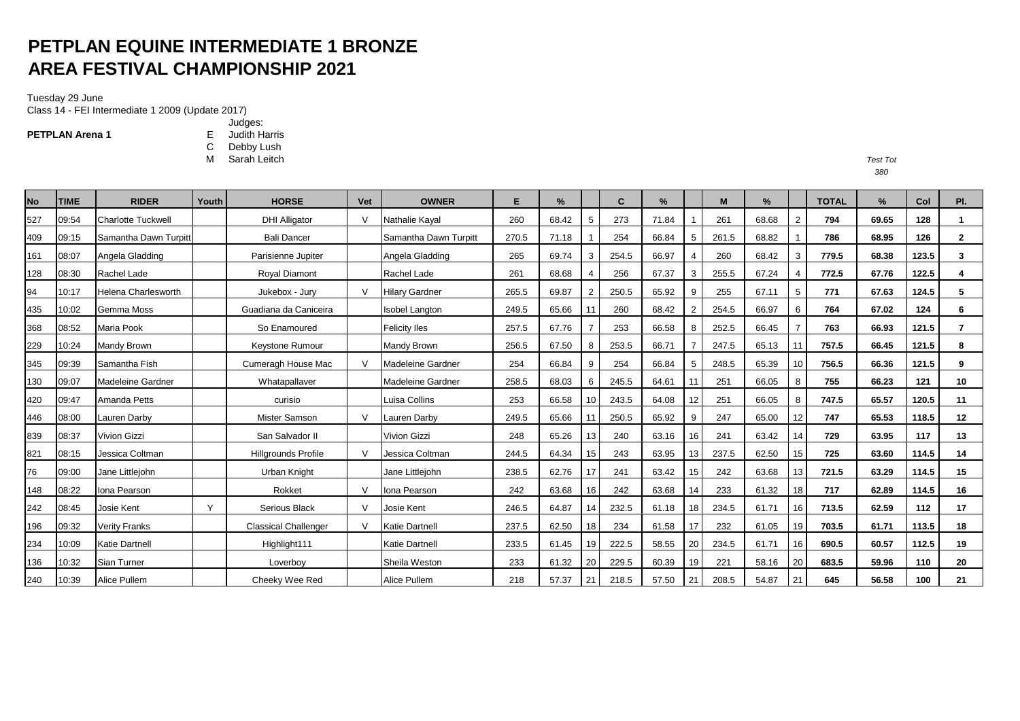# **PETPLAN EQUINE INTERMEDIATE 1 BRONZE AREA FESTIVAL CHAMPIONSHIP 2021**

### Tuesday 29 June

Class 14 - FEI Intermediate 1 2009 (Update 2017)

**PETPLAN Arena 1**

- Judges: E Judith Harris
- C Debby Lush
- M Sarah Leitch *Test Tot*

| No  | <b>TIME</b> | <b>RIDER</b>               | Youth | <b>HORSE</b>                | Vet    | <b>OWNER</b>             | E.    | $\frac{9}{6}$ |    | C     | $\frac{9}{6}$ |    | M     | %     |                | <b>TOTAL</b> | $\%$  | Col   | PI.            |
|-----|-------------|----------------------------|-------|-----------------------------|--------|--------------------------|-------|---------------|----|-------|---------------|----|-------|-------|----------------|--------------|-------|-------|----------------|
| 527 | 09:54       | <b>Charlotte Tuckwell</b>  |       | <b>DHI Alligator</b>        | $\vee$ | <b>Nathalie Kaval</b>    | 260   | 68.42         | 5  | 273   | 71.84         |    | 261   | 68.68 | 2              | 794          | 69.65 | 128   |                |
| 409 | 09:15       | Samantha Dawn Turpitt      |       | <b>Bali Dancer</b>          |        | Samantha Dawn Turpitt    | 270.5 | 71.18         |    | 254   | 66.84         | 5  | 261.5 | 68.82 |                | 786          | 68.95 | 126   | $\mathbf{2}$   |
| 161 | 08:07       | Angela Gladding            |       | Parisienne Jupiter          |        | Angela Gladding          | 265   | 69.74         | 3  | 254.5 | 66.97         |    | 260   | 68.42 | 3              | 779.5        | 68.38 | 123.5 | 3              |
| 128 | 08:30       | Rachel Lade                |       | <b>Roval Diamont</b>        |        | Rachel Lade              | 261   | 68.68         |    | 256   | 67.37         | 3  | 255.5 | 67.24 | $\overline{4}$ | 772.5        | 67.76 | 122.5 |                |
| 94  | 10:17       | <b>Helena Charlesworth</b> |       | Jukebox - Jury              | $\vee$ | <b>Hilary Gardner</b>    | 265.5 | 69.87         | 2  | 250.5 | 65.92         | 9  | 255   | 67.11 | 5              | 771          | 67.63 | 124.5 | 5              |
| 435 | 10:02       | Gemma Moss                 |       | Guadiana da Caniceira       |        | <b>Isobel Langton</b>    | 249.5 | 65.66         | 11 | 260   | 68.42         |    | 254.5 | 66.97 | 6              | 764          | 67.02 | 124   | 6              |
| 368 | 08:52       | <b>Maria Pook</b>          |       | So Enamoured                |        | <b>Felicity Iles</b>     | 257.5 | 67.76         |    | 253   | 66.58         | 8  | 252.5 | 66.45 | $\overline{7}$ | 763          | 66.93 | 121.5 | $\overline{7}$ |
| 229 | 10:24       | Mandy Brown                |       | Keystone Rumour             |        | <b>Mandy Brown</b>       | 256.5 | 67.50         | 8  | 253.5 | 66.71         |    | 247.5 | 65.13 |                | 757.5        | 66.45 | 121.5 | 8              |
| 345 | 09:39       | Samantha Fish              |       | Cumeragh House Mac          | $\vee$ | Madeleine Gardner        | 254   | 66.84         | 9  | 254   | 66.84         | 5  | 248.5 | 65.39 | 10             | 756.5        | 66.36 | 121.5 | 9              |
| 130 | 09:07       | Madeleine Gardner          |       | Whatapallaver               |        | <b>Madeleine Gardner</b> | 258.5 | 68.03         | 6  | 245.5 | 64.61         | 11 | 251   | 66.05 | 8              | 755          | 66.23 | 121   | 10             |
| 420 | 09:47       | Amanda Petts               |       | curisio                     |        | Luisa Collins            | 253   | 66.58         | 10 | 243.5 | 64.08         | 12 | 251   | 66.05 | 8              | 747.5        | 65.57 | 120.5 | 11             |
| 446 | 08:00       | Lauren Darby               |       | Mister Samson               | $\vee$ | Lauren Darby             | 249.5 | 65.66         | 11 | 250.5 | 65.92         | 9  | 247   | 65.00 | 12             | 747          | 65.53 | 118.5 | 12             |
| 839 | 08:37       | <b>Vivion Gizzi</b>        |       | San Salvador II             |        | <b>Vivion Gizzi</b>      | 248   | 65.26         | 13 | 240   | 63.16         | 16 | 241   | 63.42 | 14             | 729          | 63.95 | 117   | 13             |
| 821 | 08:15       | Jessica Coltman            |       | <b>Hillgrounds Profile</b>  | $\vee$ | Jessica Coltman          | 244.5 | 64.34         | 15 | 243   | 63.95         | 13 | 237.5 | 62.50 | 15             | 725          | 63.60 | 114.5 | 14             |
| 76  | 09:00       | Jane Littlejohn            |       | Urban Knight                |        | Jane Littlejohn          | 238.5 | 62.76         | 17 | 241   | 63.42         | 15 | 242   | 63.68 | 13             | 721.5        | 63.29 | 114.5 | 15             |
| 148 | 08:22       | Iona Pearson               |       | Rokket                      | V      | Iona Pearson             | 242   | 63.68         | 16 | 242   | 63.68         | 14 | 233   | 61.32 | 18             | 717          | 62.89 | 114.5 | 16             |
| 242 | 08:45       | Josie Kent                 | Υ     | Serious Black               | $\vee$ | Josie Kent               | 246.5 | 64.87         | 14 | 232.5 | 61.18         | 18 | 234.5 | 61.71 | 16             | 713.5        | 62.59 | 112   | 17             |
| 196 | 09:32       | <b>Verity Franks</b>       |       | <b>Classical Challenger</b> | $\vee$ | <b>Katie Dartnell</b>    | 237.5 | 62.50         | 18 | 234   | 61.58         | 17 | 232   | 61.05 | 19             | 703.5        | 61.71 | 113.5 | 18             |
| 234 | 10:09       | <b>Katie Dartnell</b>      |       | Highlight111                |        | <b>Katie Dartnell</b>    | 233.5 | 61.45         | 19 | 222.5 | 58.55         | 20 | 234.5 | 61.71 | 16             | 690.5        | 60.57 | 112.5 | 19             |
| 136 | 10:32       | Sian Turner                |       | Loverboy                    |        | Sheila Weston            | 233   | 61.32         | 20 | 229.5 | 60.39         | 19 | 221   | 58.16 | 20             | 683.5        | 59.96 | 110   | 20             |
| 240 | 10:39       | <b>Alice Pullem</b>        |       | Cheeky Wee Red              |        | Alice Pullem             | 218   | 57.37         | 21 | 218.5 | 57.50         | 21 | 208.5 | 54.87 | 21             | 645          | 56.58 | 100   | 21             |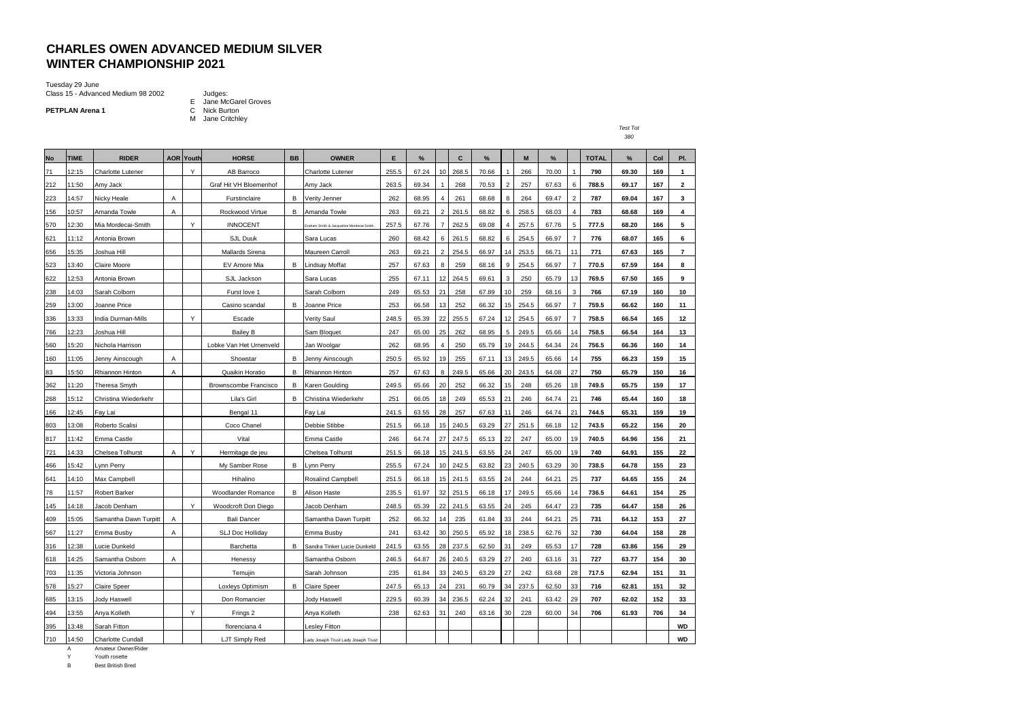## **CHARLES OWEN ADVANCED MEDIUM SILVER WINTER CHAMPIONSHIP 2021**

Tuesday 29 June Class 15 - Advanced Medium 98 2002 Judges:

**PETPLAN Arena 1** 

- E Jane McGarel Groves C Nick Burton<br>M Jane Critchley
- 

| . | . . |
|---|-----|
|   |     |

| <b>No</b> | <b>TIME</b> | <b>RIDER</b>             |   | <b>AOR Youth</b> | <b>HORSE</b>            | <b>BB</b> | <b>OWNER</b>                             | E     | %     |                         | C     | %     |                | M     | %     |                          | <b>TOTAL</b> | %     | Col | PI.                     |
|-----------|-------------|--------------------------|---|------------------|-------------------------|-----------|------------------------------------------|-------|-------|-------------------------|-------|-------|----------------|-------|-------|--------------------------|--------------|-------|-----|-------------------------|
| 71        | 12:15       | <b>Charlotte Lutener</b> |   | Y                | AB Barroco              |           | <b>Charlotte Lutener</b>                 | 255.5 | 67.24 | 10                      | 268.5 | 70.66 |                | 266   | 70.00 |                          | 790          | 69.30 | 169 | $\mathbf{1}$            |
| 212       | 11:50       | Amy Jack                 |   |                  | Graf Hit VH Bloemenhof  |           | Amy Jack                                 | 263.5 | 69.34 |                         | 268   | 70.53 | $\overline{2}$ | 257   | 67.63 | 6                        | 788.5        | 69.17 | 167 | $\mathbf{2}$            |
| 223       | 14:57       | Nicky Heale              | Α |                  | Furstinclaire           |           | <b>B</b> Verity Jenner                   | 262   | 68.95 | 4                       | 261   | 68.68 | 8              | 264   | 69.47 | $\overline{\phantom{a}}$ | 787          | 69.04 | 167 | 3                       |
| 156       | 10:57       | Amanda Towle             | A |                  | Rockwood Virtue         |           | <b>B</b> Amanda Towle                    | 263   | 69.21 | $\overline{\mathbf{c}}$ | 261.5 | 68.82 | 6              | 258.5 | 68.03 | $\boldsymbol{\Delta}$    | 783          | 68.68 | 169 | $\overline{\mathbf{4}}$ |
| 570       | 12:30       | Mia Mordecai-Smith       |   | Y                | <b>INNOCENT</b>         |           | Graham Smith & Jacqueline Mordecai-Smith | 257.5 | 67.76 | $\overline{7}$          | 262.5 | 69.08 | $\overline{4}$ | 257.5 | 67.76 | 5                        | 777.5        | 68.20 | 166 | 5                       |
| 621       | 11:12       | Antonia Brown            |   |                  | SJL Duuk                |           | Sara Lucas                               | 260   | 68.42 | 6                       | 261.5 | 68.82 | 6              | 254.5 | 66.97 | $\overline{7}$           | 776          | 68.07 | 165 | 6                       |
| 656       | 15:35       | Joshua Hill              |   |                  | Mallards Sirena         |           | Maureen Carroll                          | 263   | 69.21 | $\overline{a}$          | 254.5 | 66.97 | 14             | 253.5 | 66.71 | 11                       | 771          | 67.63 | 165 | $\overline{7}$          |
| 523       | 13:40       | Claire Moore             |   |                  | EV Amore Mia            |           | <b>B</b> Lindsay Moffat                  | 257   | 67.63 | 8                       | 259   | 68.16 | 9              | 254.5 | 66.97 |                          | 770.5        | 67.59 | 164 | 8                       |
| 622       | 12:53       | Antonia Brown            |   |                  | SJL Jackson             |           | Sara Lucas                               | 255   | 67.11 | 12                      | 264.5 | 69.61 | 3              | 250   | 65.79 | 13                       | 769.5        | 67.50 | 165 | 9                       |
| 238       | 14:03       | Sarah Colborn            |   |                  | Furst love 1            |           | Sarah Colborn                            | 249   | 65.53 | 21                      | 258   | 67.89 | 10             | 259   | 68.16 | 3                        | 766          | 67.19 | 160 | 10                      |
| 259       | 13:00       | Joanne Price             |   |                  | Casino scandal          | В         | Joanne Price                             | 253   | 66.58 | 13                      | 252   | 66.32 | 15             | 254.5 | 66.97 | $\overline{7}$           | 759.5        | 66.62 | 160 | 11                      |
| 336       | 13:33       | India Durman-Mills       |   | Y                | Escade                  |           | Verity Saul                              | 248.5 | 65.39 | 22                      | 255.5 | 67.24 | 12             | 254.5 | 66.97 | $\overline{7}$           | 758.5        | 66.54 | 165 | 12                      |
| 766       | 12:23       | Joshua Hill              |   |                  | <b>Bailey B</b>         |           | Sam Bloquet                              | 247   | 65.00 | 25                      | 262   | 68.95 | 5              | 249.5 | 65.66 | 14                       | 758.5        | 66.54 | 164 | 13                      |
| 560       | 15:20       | Nichola Harrison         |   |                  | Lobke Van Het Urnenveld |           | Jan Woolgar                              | 262   | 68.95 | 4                       | 250   | 65.79 | 19             | 244.5 | 64.34 | 24                       | 756.5        | 66.36 | 160 | 14                      |
| 160       | 11:05       | Jenny Ainscough          | Α |                  | Showstar                | В         | Jenny Ainscough                          | 250.5 | 65.92 | 19                      | 255   | 67.11 | 13             | 249.5 | 65.66 | 14                       | 755          | 66.23 | 159 | 15                      |
| 83        | 15:50       | Rhiannon Hinton          | A |                  | Quaikin Horatio         | B         | Rhiannon Hinton                          | 257   | 67.63 | 8                       | 249.5 | 65.66 | 20             | 243.5 | 64.08 | 27                       | 750          | 65.79 | 150 | 16                      |
| 362       | 11:20       | Theresa Smyth            |   |                  | Brownscombe Francisco   | В         | Karen Goulding                           | 249.5 | 65.66 | 20                      | 252   | 66.32 | 15             | 248   | 65.26 | 18                       | 749.5        | 65.75 | 159 | 17                      |
| 268       | 15:12       | Christina Wiederkehr     |   |                  | Lila's Girl             | B         | Christina Wiederkehr                     | 251   | 66.05 | 18                      | 249   | 65.53 | 21             | 246   | 64.74 | 21                       | 746          | 65.44 | 160 | 18                      |
| 166       | 12:45       | Fay Lai                  |   |                  | Bengal 11               |           | Fay Lai                                  | 241.5 | 63.55 | 28                      | 257   | 67.63 | 11             | 246   | 64.74 | 21                       | 744.5        | 65.31 | 159 | 19                      |
| 803       | 13:08       | Roberto Scalisi          |   |                  | Coco Chanel             |           | Debbie Stibbe                            | 251.5 | 66.18 | 15                      | 240.5 | 63.29 | 27             | 251.5 | 66.18 | 12                       | 743.5        | 65.22 | 156 | 20                      |
| 817       | 11:42       | Emma Castle              |   |                  | Vital                   |           | Emma Castle                              | 246   | 64.74 | 27                      | 247.5 | 65.13 | 22             | 247   | 65.00 | 19                       | 740.5        | 64.96 | 156 | 21                      |
| 721       | 14:33       | Chelsea Tolhurst         | A | Υ                | Hermitage de jeu        |           | Chelsea Tolhurst                         | 251.5 | 66.18 | 15                      | 241.5 | 63.55 | 24             | 247   | 65.00 | 19                       | 740          | 64.91 | 155 | 22                      |
| 466       | 15:42       | Lynn Perry               |   |                  | My Samber Rose          | В         | Lynn Perry                               | 255.5 | 67.24 | 10                      | 242.5 | 63.82 | 23             | 240.5 | 63.29 | 30                       | 738.5        | 64.78 | 155 | 23                      |
| 641       | 14:10       | Max Campbell             |   |                  | Hihalino                |           | <b>Rosalind Campbell</b>                 | 251.5 | 66.18 | 15                      | 241.5 | 63.55 | 24             | 244   | 64.21 | 25                       | 737          | 64.65 | 155 | 24                      |
| 78        | 11:57       | <b>Robert Barker</b>     |   |                  | Woodlander Romance      | В         | Alison Haste                             | 235.5 | 61.97 | 32                      | 251.5 | 66.18 | 17             | 249.5 | 65.66 | 14                       | 736.5        | 64.61 | 154 | 25                      |
| 145       | 14:18       | Jacob Denham             |   | Y                | Woodcroft Don Diego     |           | Jacob Denham                             | 248.5 | 65.39 | 22                      | 241.5 | 63.55 | 24             | 245   | 64.47 | 23                       | 735          | 64.47 | 158 | 26                      |
| 409       | 15:05       | Samantha Dawn Turpitt    | Α |                  | <b>Bali Dancer</b>      |           | Samantha Dawn Turpitt                    | 252   | 66.32 | 14                      | 235   | 61.84 | 33             | 244   | 64.21 | 25                       | 731          | 64.12 | 153 | 27                      |
| 567       | 11:27       | Emma Busby               | Α |                  | <b>SLJ Doc Holliday</b> |           | Emma Busby                               | 241   | 63.42 | 30                      | 250.5 | 65.92 | 18             | 238.5 | 62.76 | 32                       | 730          | 64.04 | 158 | 28                      |
| 316       | 12:38       | Lucie Dunkeld            |   |                  | Barchetta               | B         | Sandra Tinker Lucie Dunkeld              | 241.5 | 63.55 | 28                      | 237.5 | 62.50 | 31             | 249   | 65.53 | 17                       | 728          | 63.86 | 156 | 29                      |
| 618       | 14:25       | Samantha Osborn          | Α |                  | Henessy                 |           | Samantha Osborn                          | 246.5 | 64.87 | 26                      | 240.5 | 63.29 | 27             | 240   | 63.16 | 31                       | 727          | 63.77 | 154 | 30                      |
| 703       | 11:35       | Victoria Johnson         |   |                  | Temujin                 |           | Sarah Johnson                            | 235   | 61.84 | 33                      | 240.5 | 63.29 | 27             | 242   | 63.68 | 28                       | 717.5        | 62.94 | 151 | 31                      |
| 578       | 15:27       | <b>Claire Speer</b>      |   |                  | Loxleys Optimism        | B         | <b>Claire Speer</b>                      | 247.5 | 65.13 | 24                      | 231   | 60.79 | 34             | 237.5 | 62.50 | 33                       | 716          | 62.81 | 151 | 32                      |
| 685       | 13:15       | Jody Haswell             |   |                  | Don Romancier           |           | Jody Haswell                             | 229.5 | 60.39 | 34                      | 236.5 | 62.24 | 32             | 241   | 63.42 | 29                       | 707          | 62.02 | 152 | 33                      |
| 494       | 13:55       | Anya Kolleth             |   | Y                | Frings 2                |           | Anya Kolleth                             | 238   | 62.63 | 31                      | 240   | 63.16 | 30             | 228   | 60.00 | 34                       | 706          | 61.93 | 706 | 34                      |
| 395       | 13:48       | Sarah Fitton             |   |                  | florenciana 4           |           | Lesley Fitton                            |       |       |                         |       |       |                |       |       |                          |              |       |     | <b>WD</b>               |
| 710       | 14:50       | <b>Charlotte Cundall</b> |   |                  | LJT Simply Red          |           | Lady Joseph Trust Lady Joseph Trust      |       |       |                         |       |       |                |       |       |                          |              |       |     | <b>WD</b>               |

A Amateur Owner/Rider

Y Youth rosette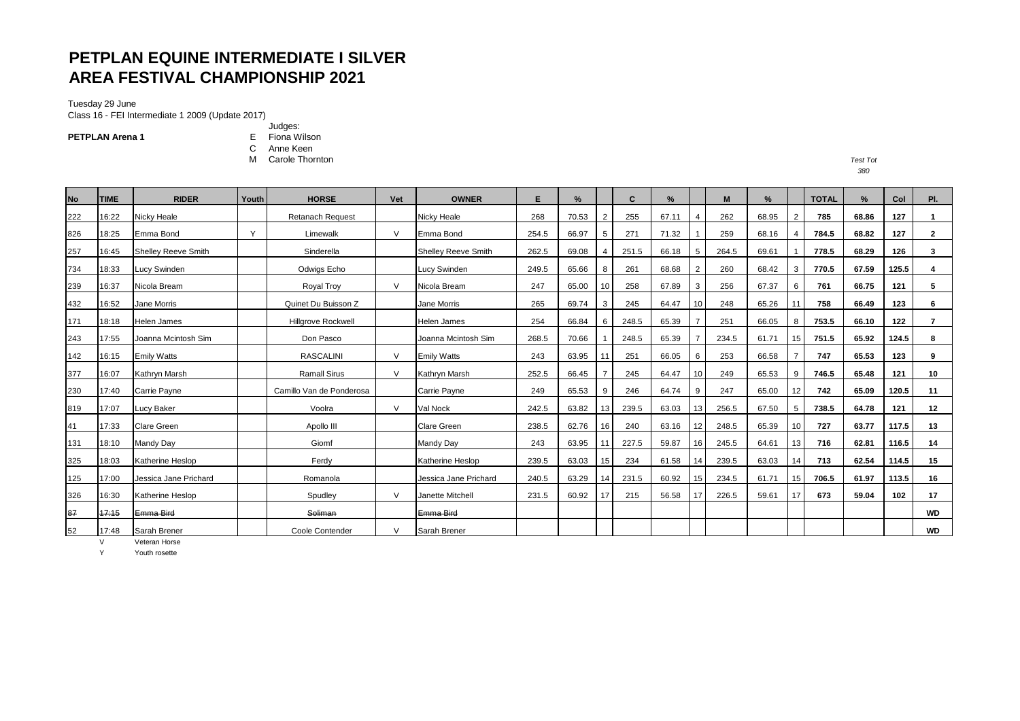# **PETPLAN EQUINE INTERMEDIATE I SILVER AREA FESTIVAL CHAMPIONSHIP 2021**

Tuesday 29 June Class 16 - FEI Intermediate 1 2009 (Update 2017)

**PETPLAN Arena 1**

Judges: E Fiona Wilson

C Anne Keen M Carole Thornton *Test Tot*

| <b>No</b> | <b>TIME</b> | <b>RIDER</b>               | Youth | <b>HORSE</b>              | Vet           | <b>OWNER</b>          | E     | %     |                | C     | %     |                | M     | $\%$  |                | <b>TOTAL</b> | $\%$  | Col   | PI.            |
|-----------|-------------|----------------------------|-------|---------------------------|---------------|-----------------------|-------|-------|----------------|-------|-------|----------------|-------|-------|----------------|--------------|-------|-------|----------------|
| 222       | 16:22       | Nicky Heale                |       | <b>Retanach Request</b>   |               | Nicky Heale           | 268   | 70.53 | $\overline{2}$ | 255   | 67.11 | $\overline{4}$ | 262   | 68.95 | $\overline{2}$ | 785          | 68.86 | 127   | $\mathbf{1}$   |
| 826       | 18:25       | Emma Bond                  | Y     | Limewalk                  | $\mathsf{V}$  | Emma Bond             | 254.5 | 66.97 | 5              | 271   | 71.32 |                | 259   | 68.16 |                | 784.5        | 68.82 | 127   | $\overline{2}$ |
| 257       | 16:45       | <b>Shelley Reeve Smith</b> |       | Sinderella                |               | Shellev Reeve Smith   | 262.5 | 69.08 | $\overline{4}$ | 251.5 | 66.18 | 5              | 264.5 | 69.61 |                | 778.5        | 68.29 | 126   | 3              |
| 734       | 18:33       | <b>Lucy Swinden</b>        |       | Odwigs Echo               |               | Lucy Swinden          | 249.5 | 65.66 | 8              | 261   | 68.68 | 2              | 260   | 68.42 | 3              | 770.5        | 67.59 | 125.5 | 4              |
| 239       | 16:37       | Nicola Bream               |       | Royal Troy                | $\mathsf{V}$  | Nicola Bream          | 247   | 65.00 | 10             | 258   | 67.89 | $\mathbf{3}$   | 256   | 67.37 | 6              | 761          | 66.75 | 121   | 5              |
| 432       | 16:52       | Jane Morris                |       | Quinet Du Buisson Z       |               | Jane Morris           | 265   | 69.74 | 3              | 245   | 64.47 | 10             | 248   | 65.26 | 11             | 758          | 66.49 | 123   | 6              |
| 171       | 18:18       | <b>Helen James</b>         |       | <b>Hillgrove Rockwell</b> |               | <b>Helen James</b>    | 254   | 66.84 | 6              | 248.5 | 65.39 |                | 251   | 66.05 | 8              | 753.5        | 66.10 | 122   | $\mathbf{7}$   |
| 243       | 17:55       | Joanna Mcintosh Sim        |       | Don Pasco                 |               | Joanna Mcintosh Sim   | 268.5 | 70.66 |                | 248.5 | 65.39 |                | 234.5 | 61.71 | 15             | 751.5        | 65.92 | 124.5 | 8              |
| 142       | 16:15       | <b>Emily Watts</b>         |       | <b>RASCALINI</b>          | V             | <b>Emily Watts</b>    | 243   | 63.95 | 11             | 251   | 66.05 | 6              | 253   | 66.58 |                | 747          | 65.53 | 123   | 9              |
| 377       | 16:07       | Kathrvn Marsh              |       | <b>Ramall Sirus</b>       | $\mathcal{U}$ | Kathrvn Marsh         | 252.5 | 66.45 |                | 245   | 64.47 | 10             | 249   | 65.53 | 9              | 746.5        | 65.48 | 121   | 10             |
| 230       | 17:40       | Carrie Payne               |       | Camillo Van de Ponderosa  |               | Carrie Payne          | 249   | 65.53 | 9              | 246   | 64.74 | -9             | 247   | 65.00 | 12             | 742          | 65.09 | 120.5 | 11             |
| 819       | 17:07       | Lucy Baker                 |       | Voolra                    | $\vee$        | Val Nock              | 242.5 | 63.82 | 13             | 239.5 | 63.03 | 13             | 256.5 | 67.50 | 5              | 738.5        | 64.78 | 121   | 12             |
| 41        | 17:33       | <b>Clare Green</b>         |       | Apollo III                |               | <b>Clare Green</b>    | 238.5 | 62.76 | 16             | 240   | 63.16 | 12             | 248.5 | 65.39 | 10             | 727          | 63.77 | 117.5 | 13             |
| 131       | 18:10       | Mandy Day                  |       | Giomf                     |               | Mandy Day             | 243   | 63.95 | 11             | 227.5 | 59.87 | 16             | 245.5 | 64.61 | 13             | 716          | 62.81 | 116.5 | 14             |
| 325       | 18:03       | Katherine Heslop           |       | Ferdy                     |               | Katherine Heslop      | 239.5 | 63.03 | 15             | 234   | 61.58 | 14             | 239.5 | 63.03 | 14             | 713          | 62.54 | 114.5 | 15             |
| 125       | 17:00       | Jessica Jane Prichard      |       | Romanola                  |               | Jessica Jane Prichard | 240.5 | 63.29 | 14             | 231.5 | 60.92 | 15             | 234.5 | 61.71 | 15             | 706.5        | 61.97 | 113.5 | 16             |
| 326       | 16:30       | Katherine Heslop           |       | Spudley                   | $\vee$        | Janette Mitchell      | 231.5 | 60.92 | 17             | 215   | 56.58 | 17             | 226.5 | 59.61 | 17             | 673          | 59.04 | 102   | 17             |
| 87        | 17:15       | Emma Bird                  |       | Soliman                   |               | Emma Bird             |       |       |                |       |       |                |       |       |                |              |       |       | <b>WD</b>      |
| 52        | 17:48       | Sarah Brener               |       | Coole Contender           | V             | Sarah Brener          |       |       |                |       |       |                |       |       |                |              |       |       | <b>WD</b>      |

V Veteran Horse

Y Youth rosette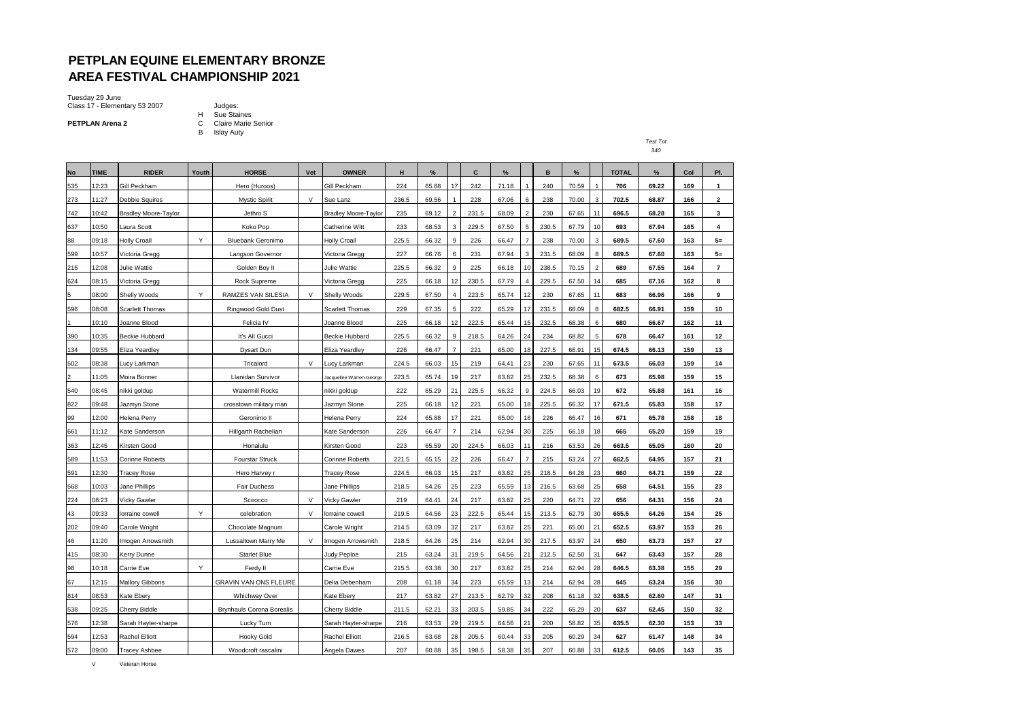### **PETPLAN EQUINE ELEMENTARY BRONZE AREA FESTIVAL CHAMPIONSHIP 2021**

Tuesday 29 June Class 17 - Elementary 53 2007 Judges:

**PETPLAN Arena 2**

H Sue Staines C Claire Marie Senior B Islay Auty

| .                  |  |
|--------------------|--|
| ۰,<br>۰.<br>×<br>× |  |

| <b>No</b> | <b>TIME</b> | <b>RIDER</b>                | Youth | <b>HORSE</b>                     | Vet | <b>OWNER</b>                | н     | %     |                | C     | %     |                | в     | %     |                | <b>TOTAL</b> | %     | Col | PI.            |
|-----------|-------------|-----------------------------|-------|----------------------------------|-----|-----------------------------|-------|-------|----------------|-------|-------|----------------|-------|-------|----------------|--------------|-------|-----|----------------|
| 535       | 12:23       | Gill Peckham                |       | Hero (Huroos)                    |     | Gill Peckham                | 224   | 65.88 | 17             | 242   | 71.18 | 1              | 240   | 70.59 |                | 706          | 69.22 | 169 | $\mathbf{1}$   |
| 273       | 11:27       | <b>Debbie Squires</b>       |       | <b>Mystic Spirit</b>             | V   | Sue Lanz                    | 236.5 | 69.56 |                | 228   | 67.06 | 6              | 238   | 70.00 | 3              | 702.5        | 68.87 | 166 | 2              |
| 742       | 10:42       | <b>Bradley Moore-Taylor</b> |       | Jethro S                         |     | <b>Bradley Moore-Taylor</b> | 235   | 69.12 | $\overline{2}$ | 231.5 | 68.09 | $\overline{2}$ | 230   | 67.65 | 11             | 696.5        | 68.28 | 165 | 3              |
| 637       | 10:50       | Laura Scott                 |       | Koko Pop                         |     | <b>Catherine Witt</b>       | 233   | 68.53 | 3              | 229.5 | 67.50 | 5              | 230.5 | 67.79 | 10             | 693          | 67.94 | 165 | 4              |
| 88        | 09:18       | <b>Holly Croall</b>         | Y     | <b>Bluebank Geronimo</b>         |     | <b>Holly Croall</b>         | 225.5 | 66.32 | q              | 226   | 66.47 | $\overline{7}$ | 238   | 70.00 | 3              | 689.5        | 67.60 | 163 | $5=$           |
| 599       | 10:57       | Victoria Gregg              |       | Langson Governor                 |     | Victoria Gregg              | 227   | 66.76 | 6              | 231   | 67.94 | 3              | 231.5 | 68.09 | 8              | 689.5        | 67.60 | 163 | $5=$           |
| 215       | 12:08       | Julie Wattie                |       | Golden Boy II                    |     | Julie Wattie                | 225.5 | 66.32 | q              | 225   | 66.18 | 10             | 238.5 | 70.15 | $\overline{2}$ | 689          | 67.55 | 164 | $\overline{7}$ |
| 624       | 08:15       | Victoria Gregg              |       | Rock Supreme                     |     | √ictoria Gregg              | 225   | 66.18 | 12             | 230.5 | 67.79 | 4              | 229.5 | 67.50 | 14             | 685          | 67.16 | 162 | 8              |
| 5         | 08:00       | <b>Shelly Woods</b>         | Y     | RAMZES VAN SILESIA               | V   | Shelly Woods                | 229.5 | 67.50 |                | 223.5 | 65.74 | 12             | 230   | 67.65 | 11             | 683          | 66.96 | 166 | 9              |
| 596       | 08:08       | <b>Scarlett Thomas</b>      |       | Ringwood Gold Dust               |     | <b>Scarlett Thomas</b>      | 229   | 67.35 | 5              | 222   | 65.29 | 17             | 231.5 | 68.09 | 8              | 682.5        | 66.91 | 159 | 10             |
|           | 10:10       | Joanne Blood                |       | Felicia IV                       |     | Joanne Blood                | 225   | 66.18 | 12             | 222.5 | 65.44 | 15             | 232.5 | 68.38 | 6              | 680          | 66.67 | 162 | 11             |
| 390       | 10:35       | <b>Beckie Hubbard</b>       |       | It's All Gucci                   |     | <b>Beckie Hubbard</b>       | 225.5 | 66.32 | 9              | 218.5 | 64.26 | 24             | 234   | 68.82 | 5              | 678          | 66.47 | 161 | 12             |
| 134       | 09:55       | Eliza Yeardley              |       | Dysart Dun                       |     | Eliza Yeardley              | 226   | 66.47 | $\overline{7}$ | 221   | 65.00 | 18             | 227.5 | 66.91 | 15             | 674.5        | 66.13 | 159 | 13             |
| 502       | 08:38       | Lucy Larkman                |       | Tricalord                        | V   | ucy Larkman                 | 224.5 | 66.03 | 15             | 219   | 64.41 | 23             | 230   | 67.65 | 11             | 673.5        | 66.03 | 159 | 14             |
|           | 11:05       | Moira Bonner                |       | Llanidan Survivor                |     | Jacqueline Warren-George    | 223.5 | 65.74 | 19             | 217   | 63.82 | 25             | 232.5 | 68.38 | 6              | 673          | 65.98 | 159 | 15             |
| 540       | 08:45       | nikki goldup                |       | <b>Watermill Rocks</b>           |     | nikki goldup                | 222   | 65.29 | 21             | 225.5 | 66.32 | 9              | 224.5 | 66.03 | 19             | 672          | 65.88 | 161 | 16             |
| 822       | 09:48       | Jazmyn Stone                |       | crosstown military man           |     | Jazmyn Stone                | 225   | 66.18 | 12             | 221   | 65.00 | 18             | 225.5 | 66.32 | 17             | 671.5        | 65.83 | 158 | 17             |
| 99        | 12:00       | <b>Helena Perry</b>         |       | Geronimo II                      |     | <b>Helena Perry</b>         | 224   | 65.88 | 17             | 221   | 65.00 | 18             | 226   | 66.47 | 16             | 671          | 65.78 | 158 | 18             |
| 661       | 11:12       | Kate Sanderson              |       | <b>Hillgarth Rachelian</b>       |     | Kate Sanderson              | 226   | 66.47 | $\overline{7}$ | 214   | 62.94 | 30             | 225   | 66.18 | 18             | 665          | 65.20 | 159 | 19             |
| 363       | 12:45       | Kirsten Good                |       | Honalulu                         |     | Kirsten Good                | 223   | 65.59 | 20             | 224.5 | 66.03 | 11             | 216   | 63.53 | 26             | 663.5        | 65.05 | 160 | 20             |
| 589       | 11:53       | <b>Corinne Roberts</b>      |       | <b>Fourstar Struck</b>           |     | <b>Corinne Roberts</b>      | 221.5 | 65.15 | 22             | 226   | 66.47 |                | 215   | 63.24 | 27             | 662.5        | 64.95 | 157 | 21             |
| 591       | 12:30       | Tracey Rose                 |       | Hero Harvey r                    |     | Tracey Rose                 | 224.5 | 66.03 | 15             | 217   | 63.82 | 25             | 218.5 | 64.26 | 23             | 660          | 64.71 | 159 | 22             |
| 568       | 10:03       | Jane Phillips               |       | <b>Fair Duchess</b>              |     | Jane Phillips               | 218.5 | 64.26 | 25             | 223   | 65.59 | 13             | 216.5 | 63.68 | 25             | 658          | 64.51 | 155 | 23             |
| 224       | 08:23       | Vicky Gawler                |       | Scirocco                         | V   | Vicky Gawler                | 219   | 64.41 | 24             | 217   | 63.82 | 25             | 220   | 64.71 | 22             | 656          | 64.31 | 156 | 24             |
| 43        | 09:33       | lorraine cowell             | Y     | celebration                      | V   | lorraine cowell             | 219.5 | 64.56 | 23             | 222.5 | 65.44 | 15             | 213.5 | 62.79 | 30             | 655.5        | 64.26 | 154 | 25             |
| 202       | 09:40       | Carole Wright               |       | Chocolate Magnum                 |     | Carole Wright               | 214.5 | 63.09 | 32             | 217   | 63.82 | 25             | 221   | 65.00 | 21             | 652.5        | 63.97 | 153 | 26             |
| 46        | 11:20       | Imogen Arrowsmith           |       | Lussaltown Marry Me              | V   | Imogen Arrowsmith           | 218.5 | 64.26 | 25             | 214   | 62.94 | 30             | 217.5 | 63.97 | 24             | 650          | 63.73 | 157 | 27             |
| 415       | 08:30       | <b>Kerry Dunne</b>          |       | <b>Starlet Blue</b>              |     | Judy Peploe                 | 215   | 63.24 | 31             | 219.5 | 64.56 | 21             | 212.5 | 62.50 | 31             | 647          | 63.43 | 157 | 28             |
| 98        | 10:18       | Carrie Eve                  | Y     | Ferdy II                         |     | Carrie Eve                  | 215.5 | 63.38 | 30             | 217   | 63.82 | 25             | 214   | 62.94 | 28             | 646.5        | 63.38 | 155 | 29             |
| 67        | 12:15       | <b>Mallory Gibbons</b>      |       | GRAVIN VAN ONS FLEURE            |     | Delia Debenham              | 208   | 61.18 | 34             | 223   | 65.59 | 13             | 214   | 62.94 | 28             | 645          | 63.24 | 156 | 30             |
| 814       | 08:53       | Kate Ebery                  |       | <b>Whichway Over</b>             |     | Kate Ebery                  | 217   | 63.82 | 27             | 213.5 | 62.79 | 32             | 208   | 61.18 | 32             | 638.5        | 62.60 | 147 | 31             |
| 538       | 09:25       | Cherry Biddle               |       | <b>Brynhauls Corona Borealis</b> |     | Cherry Biddle               | 211.5 | 62.21 | 33             | 203.5 | 59.85 | 34             | 222   | 65.29 | 20             | 637          | 62.45 | 150 | 32             |
| 576       | 12:38       | Sarah Hayter-sharpe         |       | Lucky Turn                       |     | Sarah Hayter-sharpe         | 216   | 63.53 | 29             | 219.5 | 64.56 | 21             | 200   | 58.82 | 35             | 635.5        | 62.30 | 153 | 33             |
| 594       | 12:53       | <b>Rachel Elliott</b>       |       | <b>Hooky Gold</b>                |     | Rachel Elliott              | 216.5 | 63.68 | 28             | 205.5 | 60.44 | 33             | 205   | 60.29 | 34             | 627          | 61.47 | 148 | 34             |
| 572       | 09:00       | <b>Tracey Ashbee</b>        |       | Woodcroft rascalini              |     | Angela Dawes                | 207   | 60.88 | 35             | 198.5 | 58.38 | 35             | 207   | 60.88 | 33             | 612.5        | 60.05 | 143 | 35             |

V Veteran Horse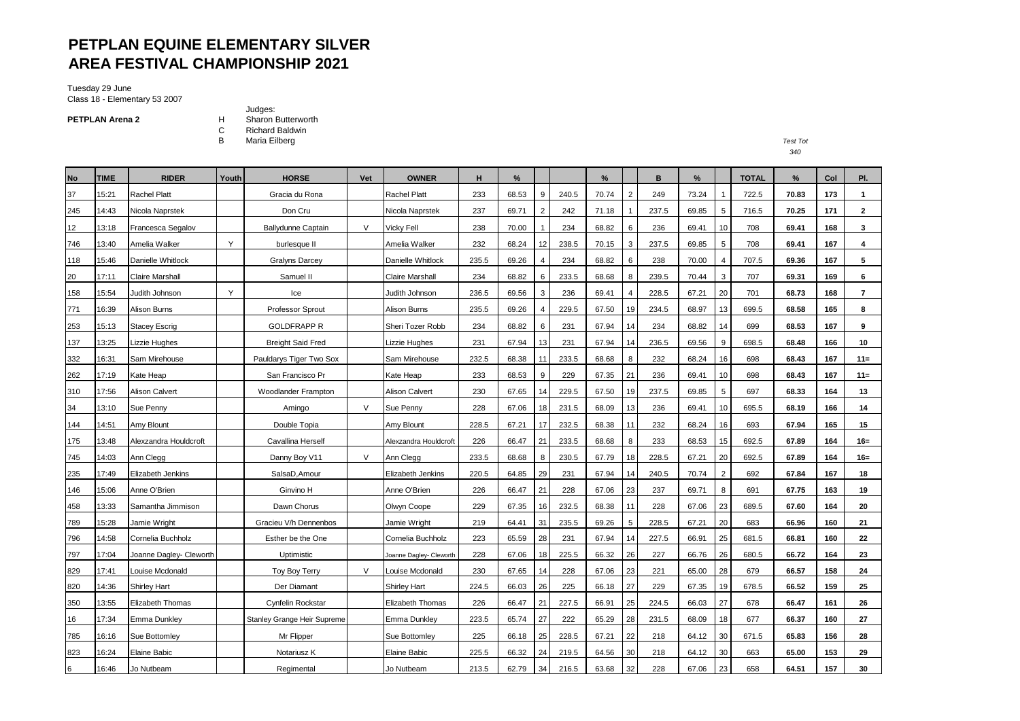# **PETPLAN EQUINE ELEMENTARY SILVER AREA FESTIVAL CHAMPIONSHIP 2021**

Tuesday 29 June Class 18 - Elementary 53 2007

**PETPLAN Arena 2**

Judges: H Sharon Butterworth<br>C Richard Baldwin

C Richard Baldwin<br>B Maria Eilberg

B Maria Eilberg *Test Tot*

| <b>No</b>       | <b>TIME</b> | <b>RIDER</b>            | Youth | <b>HORSE</b>                       | Vet    | <b>OWNER</b>            | н     | %     |                |       | %     |                | B     | $\%$  |                 | <b>TOTAL</b> | %     | Col | PI.            |
|-----------------|-------------|-------------------------|-------|------------------------------------|--------|-------------------------|-------|-------|----------------|-------|-------|----------------|-------|-------|-----------------|--------------|-------|-----|----------------|
| 37              | 15:21       | <b>Rachel Platt</b>     |       | Gracia du Rona                     |        | <b>Rachel Platt</b>     | 233   | 68.53 | 9              | 240.5 | 70.74 | $\overline{2}$ | 249   | 73.24 | $\mathbf{1}$    | 722.5        | 70.83 | 173 | $\mathbf{1}$   |
| 245             | 14:43       | Nicola Naprstek         |       | Don Cru                            |        | Nicola Naprstek         | 237   | 69.71 | $\overline{2}$ | 242   | 71.18 |                | 237.5 | 69.85 | $5\overline{)}$ | 716.5        | 70.25 | 171 | 2              |
| 12              | 13:18       | Francesca Segalov       |       | <b>Ballydunne Captain</b>          | $\vee$ | Vicky Fell              | 238   | 70.00 |                | 234   | 68.82 | 6              | 236   | 69.41 | 10              | 708          | 69.41 | 168 | 3              |
| 746             | 13:40       | Amelia Walker           | Y     | burlesque II                       |        | Amelia Walker           | 232   | 68.24 | 12             | 238.5 | 70.15 | 3              | 237.5 | 69.85 | 5               | 708          | 69.41 | 167 | 4              |
| 118             | 15:46       | Danielle Whitlock       |       | <b>Gralyns Darcey</b>              |        | Danielle Whitlock       | 235.5 | 69.26 |                | 234   | 68.82 | 6              | 238   | 70.00 | $\overline{4}$  | 707.5        | 69.36 | 167 | 5              |
| 20              | 17:11       | Claire Marshall         |       | Samuel II                          |        | Claire Marshall         | 234   | 68.82 | 6              | 233.5 | 68.68 | 8              | 239.5 | 70.44 | 3               | 707          | 69.31 | 169 | 6              |
| 158             | 15:54       | Judith Johnson          | Y     | Ice                                |        | Judith Johnson          | 236.5 | 69.56 | 3              | 236   | 69.41 | 4              | 228.5 | 67.21 | 20              | 701          | 68.73 | 168 | $\overline{7}$ |
| 771             | 16:39       | Alison Burns            |       | Professor Sprout                   |        | Alison Burns            | 235.5 | 69.26 | 4              | 229.5 | 67.50 | 19             | 234.5 | 68.97 | 13              | 699.5        | 68.58 | 165 | 8              |
| 253             | 15:13       | Stacey Escriq           |       | <b>GOLDFRAPP R</b>                 |        | Sheri Tozer Robb        | 234   | 68.82 | 6              | 231   | 67.94 | 14             | 234   | 68.82 | 14              | 699          | 68.53 | 167 | 9              |
| 137             | 13:25       | Lizzie Hughes           |       | <b>Breight Said Fred</b>           |        | Lizzie Hughes           | 231   | 67.94 | 13             | 231   | 67.94 | 14             | 236.5 | 69.56 | 9               | 698.5        | 68.48 | 166 | 10             |
| 332             | 16:31       | Sam Mirehouse           |       | Pauldarys Tiger Two Sox            |        | Sam Mirehouse           | 232.5 | 68.38 | 11             | 233.5 | 68.68 | 8              | 232   | 68.24 | 16              | 698          | 68.43 | 167 | $11 =$         |
| 262             | 17:19       | Kate Heap               |       | San Francisco Pr                   |        | Kate Heap               | 233   | 68.53 | 9              | 229   | 67.35 | 21             | 236   | 69.41 | 10              | 698          | 68.43 | 167 | $11 =$         |
| 310             | 17:56       | Alison Calvert          |       | Woodlander Frampton                |        | Alison Calvert          | 230   | 67.65 | 14             | 229.5 | 67.50 | 19             | 237.5 | 69.85 | 5               | 697          | 68.33 | 164 | 13             |
| 34              | 13:10       | Sue Penny               |       | Amingo                             | $\vee$ | Sue Penny               | 228   | 67.06 | 18             | 231.5 | 68.09 | 13             | 236   | 69.41 | 10              | 695.5        | 68.19 | 166 | 14             |
| 144             | 14:51       | Amy Blount              |       | Double Topia                       |        | Amy Blount              | 228.5 | 67.21 | 17             | 232.5 | 68.38 | 11             | 232   | 68.24 | 16              | 693          | 67.94 | 165 | 15             |
| 175             | 13:48       | Alexzandra Houldcroft   |       | Cavallina Herself                  |        | Alexzandra Houldcroft   | 226   | 66.47 | 21             | 233.5 | 68.68 | 8              | 233   | 68.53 | 15              | 692.5        | 67.89 | 164 | $16 =$         |
| 745             | 14:03       | Ann Clegg               |       | Danny Boy V11                      | V      | Ann Clegg               | 233.5 | 68.68 | 8              | 230.5 | 67.79 | 18             | 228.5 | 67.21 | 20              | 692.5        | 67.89 | 164 | $16 =$         |
| 235             | 17:49       | Elizabeth Jenkins       |       | SalsaD, Amour                      |        | Elizabeth Jenkins       | 220.5 | 64.85 | 29             | 231   | 67.94 | 14             | 240.5 | 70.74 | 2               | 692          | 67.84 | 167 | 18             |
| 146             | 15:06       | Anne O'Brien            |       | Ginvino H                          |        | Anne O'Brien            | 226   | 66.47 | 21             | 228   | 67.06 | 23             | 237   | 69.71 | 8               | 691          | 67.75 | 163 | 19             |
| 458             | 13:33       | Samantha Jimmison       |       | Dawn Chorus                        |        | Olwyn Coope             | 229   | 67.35 | 16             | 232.5 | 68.38 |                | 228   | 67.06 | 23              | 689.5        | 67.60 | 164 | 20             |
| 789             | 15:28       | Jamie Wright            |       | Gracieu V/h Dennenbos              |        | Jamie Wright            | 219   | 64.41 | 31             | 235.5 | 69.26 | 5              | 228.5 | 67.21 | 20              | 683          | 66.96 | 160 | 21             |
| 796             | 14:58       | Cornelia Buchholz       |       | Esther be the One                  |        | Cornelia Buchholz       | 223   | 65.59 | 28             | 231   | 67.94 | 14             | 227.5 | 66.91 | 25              | 681.5        | 66.81 | 160 | 22             |
| 797             | 17:04       | Joanne Dagley- Cleworth |       | Uptimistic                         |        | Joanne Dagley- Cleworth | 228   | 67.06 | 18             | 225.5 | 66.32 | 26             | 227   | 66.76 | 26              | 680.5        | 66.72 | 164 | 23             |
| 829             | 17:41       | Louise Mcdonald         |       | Toy Boy Terry                      | V      | Louise Mcdonald         | 230   | 67.65 | 14             | 228   | 67.06 | 23             | 221   | 65.00 | 28              | 679          | 66.57 | 158 | 24             |
| 820             | 14:36       | <b>Shirley Hart</b>     |       | Der Diamant                        |        | <b>Shirley Hart</b>     | 224.5 | 66.03 | 26             | 225   | 66.18 | 27             | 229   | 67.35 | 19              | 678.5        | 66.52 | 159 | 25             |
| 350             | 13:55       | Elizabeth Thomas        |       | Cynfelin Rockstar                  |        | Elizabeth Thomas        | 226   | 66.47 | 21             | 227.5 | 66.91 | 25             | 224.5 | 66.03 | 27              | 678          | 66.47 | 161 | 26             |
| 16              | 17:34       | <b>Emma Dunkley</b>     |       | <b>Stanley Grange Heir Supreme</b> |        | <b>Emma Dunkley</b>     | 223.5 | 65.74 | 27             | 222   | 65.29 | 28             | 231.5 | 68.09 | 18              | 677          | 66.37 | 160 | 27             |
| 785             | 16:16       | Sue Bottomley           |       | Mr Flipper                         |        | Sue Bottomley           | 225   | 66.18 | 25             | 228.5 | 67.21 | 22             | 218   | 64.12 | 30              | 671.5        | 65.83 | 156 | 28             |
| 823             | 16:24       | <b>Elaine Babic</b>     |       | Notariusz K                        |        | Elaine Babic            | 225.5 | 66.32 | 24             | 219.5 | 64.56 | 30             | 218   | 64.12 | 30              | 663          | 65.00 | 153 | 29             |
| $6\phantom{.}6$ | 16:46       | Jo Nutbeam              |       | Regimental                         |        | Jo Nutbeam              | 213.5 | 62.79 | 34             | 216.5 | 63.68 | 32             | 228   | 67.06 | 23              | 658          | 64.51 | 157 | 30             |